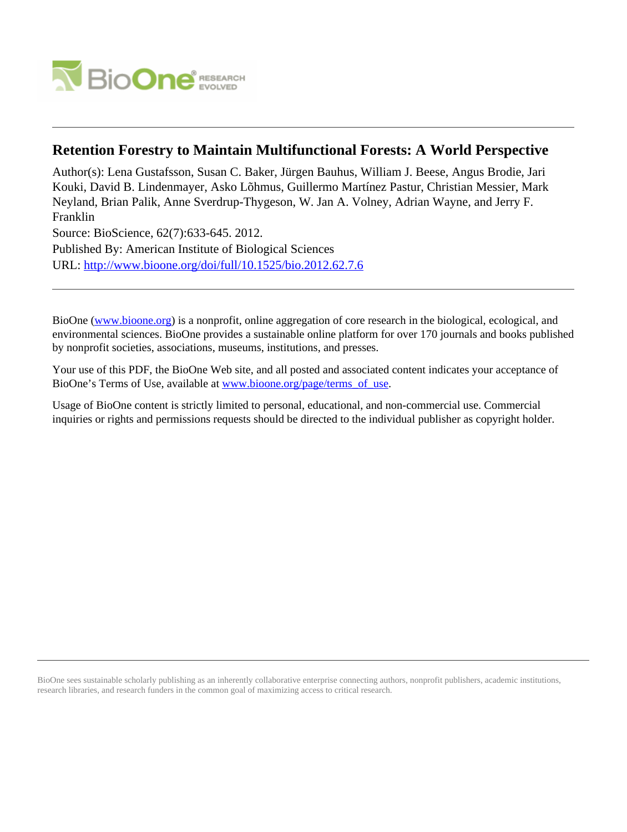

## **Retention Forestry to Maintain Multifunctional Forests: A World Perspective**

Author(s): Lena Gustafsson, Susan C. Baker, Jürgen Bauhus, William J. Beese, Angus Brodie, Jari Kouki, David B. Lindenmayer, Asko Lõhmus, Guillermo Martínez Pastur, Christian Messier, Mark Neyland, Brian Palik, Anne Sverdrup-Thygeson, W. Jan A. Volney, Adrian Wayne, and Jerry F. Franklin Source: BioScience, 62(7):633-645. 2012. Published By: American Institute of Biological Sciences URL: <http://www.bioone.org/doi/full/10.1525/bio.2012.62.7.6>

BioOne [\(www.bioone.org\)](http://www.bioone.org) is a nonprofit, online aggregation of core research in the biological, ecological, and environmental sciences. BioOne provides a sustainable online platform for over 170 journals and books published by nonprofit societies, associations, museums, institutions, and presses.

Your use of this PDF, the BioOne Web site, and all posted and associated content indicates your acceptance of BioOne's Terms of Use, available at [www.bioone.org/page/terms\\_of\\_use.](http://www.bioone.org/page/terms_of_use)

Usage of BioOne content is strictly limited to personal, educational, and non-commercial use. Commercial inquiries or rights and permissions requests should be directed to the individual publisher as copyright holder.

BioOne sees sustainable scholarly publishing as an inherently collaborative enterprise connecting authors, nonprofit publishers, academic institutions, research libraries, and research funders in the common goal of maximizing access to critical research.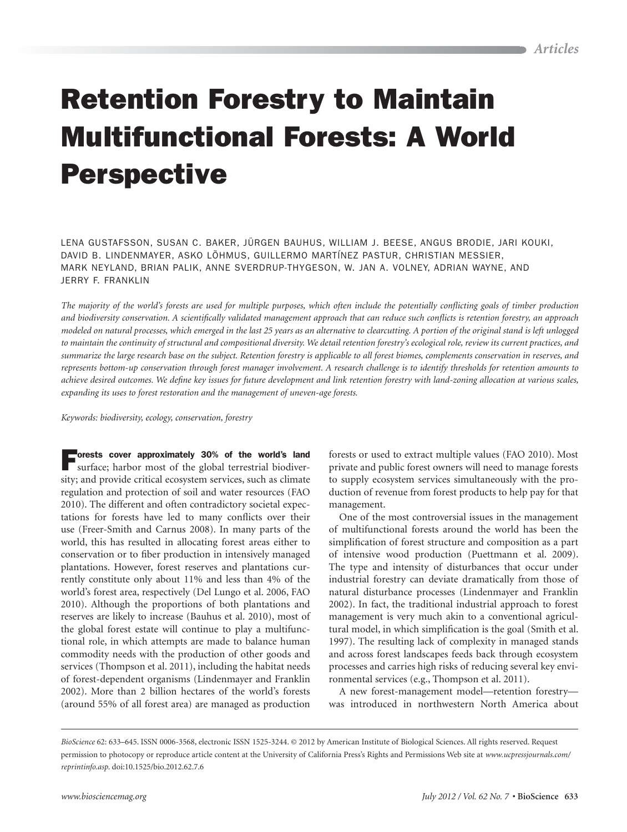# Retention Forestry to Maintain Multifunctional Forests: A World Perspective

LENA GUSTAFSSON, SUSAN C. BAKER, JÜRGEN BAUHUS, WILLIAM J. BEESE, ANGUS BRODIE, JARI KOUKI, DAVID B. LINDENMAYER, ASKO LÕHMUS, GUILLERMO MARTÍNEZ PASTUR, CHRISTIAN MESSIER, MARK NEYLAND, BRIAN PALIK, ANNE SVERDRUP-THYGESON, W. JAN A. VOLNEY, ADRIAN WAYNE, AND JERRY F. FRANKLIN

*The majority of the world's forests are used for multiple purposes, which often include the potentially conflicting goals of timber production and biodiversity conservation. A scientifically validated management approach that can reduce such conflicts is retention forestry, an approach modeled on natural processes, which emerged in the last 25 years as an alternative to clearcutting. A portion of the original stand is left unlogged to maintain the continuity of structural and compositional diversity. We detail retention forestry's ecological role, review its current practices, and summarize the large research base on the subject. Retention forestry is applicable to all forest biomes, complements conservation in reserves, and represents bottom-up conservation through forest manager involvement. A research challenge is to identify thresholds for retention amounts to achieve desired outcomes. We define key issues for future development and link retention forestry with land-zoning allocation at various scales, expanding its uses to forest restoration and the management of uneven-age forests.*

*Keywords: biodiversity, ecology, conservation, forestry*

Forests cover approximately 30% of the world's land surface; harbor most of the global terrestrial biodiversity; and provide critical ecosystem services, such as climate regulation and protection of soil and water resources (FAO 2010). The different and often contradictory societal expectations for forests have led to many conflicts over their use (Freer-Smith and Carnus 2008). In many parts of the world, this has resulted in allocating forest areas either to conservation or to fiber production in intensively managed plantations. However, forest reserves and plantations currently constitute only about 11% and less than 4% of the world's forest area, respectively (Del Lungo et al. 2006, FAO 2010). Although the proportions of both plantations and reserves are likely to increase (Bauhus et al. 2010), most of the global forest estate will continue to play a multifunctional role, in which attempts are made to balance human commodity needs with the production of other goods and services (Thompson et al. 2011), including the habitat needs of forest-dependent organisms (Lindenmayer and Franklin 2002). More than 2 billion hectares of the world's forests (around 55% of all forest area) are managed as production

forests or used to extract multiple values (FAO 2010). Most private and public forest owners will need to manage forests to supply ecosystem services simultaneously with the production of revenue from forest products to help pay for that management.

One of the most controversial issues in the management of multifunctional forests around the world has been the simplification of forest structure and composition as a part of intensive wood production (Puettmann et al. 2009). The type and intensity of disturbances that occur under industrial forestry can deviate dramatically from those of natural disturbance processes (Lindenmayer and Franklin 2002). In fact, the traditional industrial approach to forest management is very much akin to a conventional agricultural model, in which simplification is the goal (Smith et al. 1997). The resulting lack of complexity in managed stands and across forest landscapes feeds back through ecosystem processes and carries high risks of reducing several key environmental services (e.g., Thompson et al. 2011).

A new forest-management model—retention forestry was introduced in northwestern North America about

*BioScience* 62: 633–645. ISSN 0006-3568, electronic ISSN 1525-3244. © 2012 by American Institute of Biological Sciences. All rights reserved. Request permission to photocopy or reproduce article content at the University of California Press's Rights and Permissions Web site at *www.ucpressjournals.com/ reprintinfo.asp*. doi:10.1525/bio.2012.62.7.6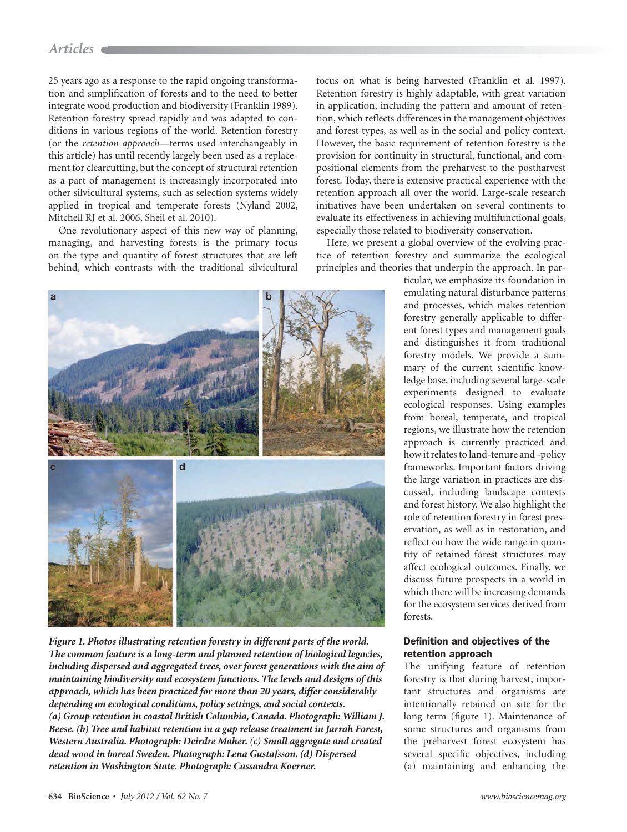25 years ago as a response to the rapid ongoing transformation and simplification of forests and to the need to better integrate wood production and biodiversity (Franklin 1989). Retention forestry spread rapidly and was adapted to conditions in various regions of the world. Retention forestry (or the *retention approach*—terms used interchangeably in this article) has until recently largely been used as a replacement for clearcutting, but the concept of structural retention as a part of management is increasingly incorporated into other silvicultural systems, such as selection systems widely applied in tropical and temperate forests (Nyland 2002, Mitchell RJ et al. 2006, Sheil et al. 2010).

One revolutionary aspect of this new way of planning, managing, and harvesting forests is the primary focus on the type and quantity of forest structures that are left behind, which contrasts with the traditional silvicultural

 $\overline{a}$  $\overline{d}$ 

*Figure 1. Photos illustrating retention forestry in different parts of the world. The common feature is a long-term and planned retention of biological legacies, including dispersed and aggregated trees, over forest generations with the aim of maintaining biodiversity and ecosystem functions. The levels and designs of this approach, which has been practiced for more than 20 years, differ considerably depending on ecological conditions, policy settings, and social contexts. (a) Group retention in coastal British Columbia, Canada. Photograph: William J. Beese. (b) Tree and habitat retention in a gap release treatment in Jarrah Forest, Western Australia. Photograph: Deirdre Maher. (c) Small aggregate and created dead wood in boreal Sweden. Photograph: Lena Gustafsson. (d) Dispersed retention in Washington State. Photograph: Cassandra Koerner.*

focus on what is being harvested (Franklin et al. 1997). Retention forestry is highly adaptable, with great variation in application, including the pattern and amount of retention, which reflects differences in the management objectives and forest types, as well as in the social and policy context. However, the basic requirement of retention forestry is the provision for continuity in structural, functional, and compositional elements from the preharvest to the postharvest forest. Today, there is extensive practical experience with the retention approach all over the world. Large-scale research initiatives have been undertaken on several continents to evaluate its effectiveness in achieving multifunctional goals, especially those related to biodiversity conservation.

Here, we present a global overview of the evolving practice of retention forestry and summarize the ecological principles and theories that underpin the approach. In par-

> ticular, we emphasize its foundation in emulating natural disturbance patterns and processes, which makes retention forestry generally applicable to different forest types and management goals and distinguishes it from traditional forestry models. We provide a summary of the current scientific knowledge base, including several large-scale experiments designed to evaluate ecological responses. Using examples from boreal, temperate, and tropical regions, we illustrate how the retention approach is currently practiced and how it relates to land-tenure and -policy frameworks. Important factors driving the large variation in practices are discussed, including landscape contexts and forest history. We also highlight the role of retention forestry in forest preservation, as well as in restoration, and reflect on how the wide range in quantity of retained forest structures may affect ecological outcomes. Finally, we discuss future prospects in a world in which there will be increasing demands for the ecosystem services derived from forests.

#### Definition and objectives of the retention approach

The unifying feature of retention forestry is that during harvest, important structures and organisms are intentionally retained on site for the long term (figure 1). Maintenance of some structures and organisms from the preharvest forest ecosystem has several specific objectives, including (a) maintaining and enhancing the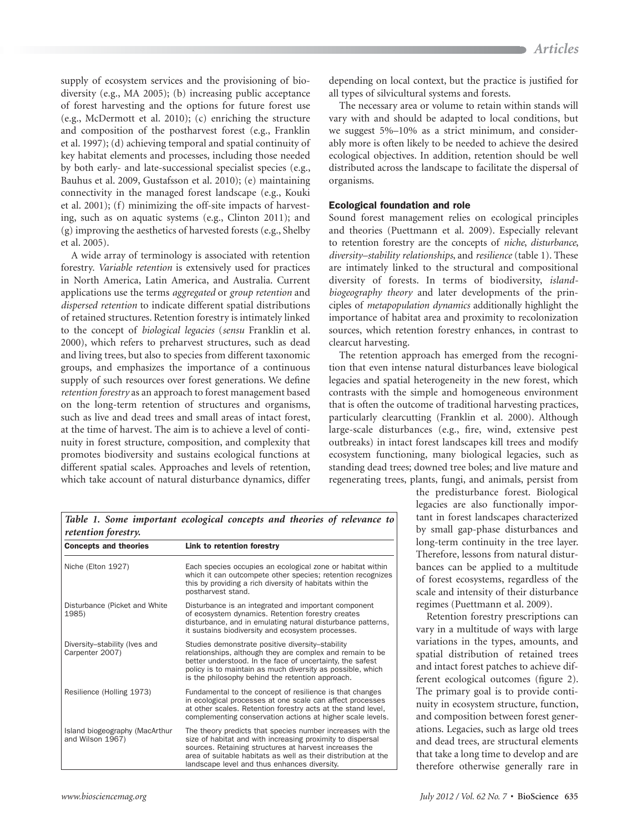supply of ecosystem services and the provisioning of biodiversity (e.g., MA 2005); (b) increasing public acceptance of forest harvesting and the options for future forest use (e.g., McDermott et al. 2010); (c) enriching the structure and composition of the postharvest forest (e.g., Franklin et al. 1997); (d) achieving temporal and spatial continuity of key habitat elements and processes, including those needed by both early- and late-successional specialist species (e.g., Bauhus et al. 2009, Gustafsson et al. 2010); (e) maintaining connectivity in the managed forest landscape (e.g., Kouki et al. 2001); (f) minimizing the off-site impacts of harvesting, such as on aquatic systems (e.g., Clinton 2011); and (g) improving the aesthetics of harvested forests (e.g., Shelby et al. 2005).

A wide array of terminology is associated with retention forestry. *Variable retention* is extensively used for practices in North America, Latin America, and Australia. Current applications use the terms *aggregated* or *group retention* and *dispersed retention* to indicate different spatial distributions of retained structures. Retention forestry is intimately linked to the concept of *biological legacies* (*sensu* Franklin et al. 2000), which refers to preharvest structures, such as dead and living trees, but also to species from different taxonomic groups, and emphasizes the importance of a continuous supply of such resources over forest generations. We define *retention forestry* as an approach to forest management based on the long-term retention of structures and organisms, such as live and dead trees and small areas of intact forest, at the time of harvest. The aim is to achieve a level of continuity in forest structure, composition, and complexity that promotes biodiversity and sustains ecological functions at different spatial scales. Approaches and levels of retention, which take account of natural disturbance dynamics, differ depending on local context, but the practice is justified for all types of silvicultural systems and forests.

The necessary area or volume to retain within stands will vary with and should be adapted to local conditions, but we suggest 5%–10% as a strict minimum, and considerably more is often likely to be needed to achieve the desired ecological objectives. In addition, retention should be well distributed across the landscape to facilitate the dispersal of organisms.

#### Ecological foundation and role

Sound forest management relies on ecological principles and theories (Puettmann et al. 2009). Especially relevant to retention forestry are the concepts of *niche*, *disturbance*, *diversity–stability relationships*, and *resilience* (table 1). These are intimately linked to the structural and compositional diversity of forests. In terms of biodiversity, *islandbiogeography theory* and later developments of the principles of *metapopulation dynamics* additionally highlight the importance of habitat area and proximity to recolonization sources, which retention forestry enhances, in contrast to clearcut harvesting.

The retention approach has emerged from the recognition that even intense natural disturbances leave biological legacies and spatial heterogeneity in the new forest, which contrasts with the simple and homogeneous environment that is often the outcome of traditional harvesting practices, particularly clearcutting (Franklin et al. 2000). Although large-scale disturbances (e.g., fire, wind, extensive pest outbreaks) in intact forest landscapes kill trees and modify ecosystem functioning, many biological legacies, such as standing dead trees; downed tree boles; and live mature and regenerating trees, plants, fungi, and animals, persist from

| the predisturbance forest. Biological    |
|------------------------------------------|
| legacies are also functionally impor-    |
| tant in forest landscapes characterized  |
| by small gap-phase disturbances and      |
| long-term continuity in the tree layer.  |
| Therefore, lessons from natural distur-  |
| bances can be applied to a multitude     |
| of forest ecosystems, regardless of the  |
| scale and intensity of their disturbance |
| regimes (Puettmann et al. 2009).         |
|                                          |

Retention forestry prescriptions can vary in a multitude of ways with large variations in the types, amounts, and spatial distribution of retained trees and intact forest patches to achieve different ecological outcomes (figure 2). The primary goal is to provide continuity in ecosystem structure, function, and composition between forest generations. Legacies, such as large old trees and dead trees, are structural elements that take a long time to develop and are therefore otherwise generally rare in

| Table 1. Some important ecological concepts and theories of relevance to<br>retention forestry. |                                                                                                                                                                                                              |  |  |  |
|-------------------------------------------------------------------------------------------------|--------------------------------------------------------------------------------------------------------------------------------------------------------------------------------------------------------------|--|--|--|
| <b>Concepts and theories</b>                                                                    | Link to retention forestry                                                                                                                                                                                   |  |  |  |
| Niche (Elton 1927)                                                                              | Each species occupies an ecological zone or habitat within<br>which it can outcompete other species; retention recognizes<br>this by providing a rich diversity of habitats within the<br>postharvest stand. |  |  |  |
| Disturbance (Picket and White<br>1985)                                                          | Disturbance is an integrated and important component<br>of ecosystem dynamics. Retention forestry creates                                                                                                    |  |  |  |

#### disturbance, and in emulating natural disturbance patterns, it sustains biodiversity and ecosystem processes. Diversity–stability (Ives and Carpenter 2007) Studies demonstrate positive diversity–stability relationships, although they are complex and remain to be better understood. In the face of uncertainty, the safest policy is to maintain as much diversity as possible, which is the philosophy behind the retention approach. Resilience (Holling 1973) Fundamental to the concept of resilience is that changes in ecological processes at one scale can affect processes at other scales. Retention forestry acts at the stand level,

complementing conservation actions at higher scale levels. Island biogeography (MacArthur and Wilson 1967) The theory predicts that species number increases with the size of habitat and with increasing proximity to dispersal sources. Retaining structures at harvest increases the area of suitable habitats as well as their distribution at the landscape level and thus enhances diversity.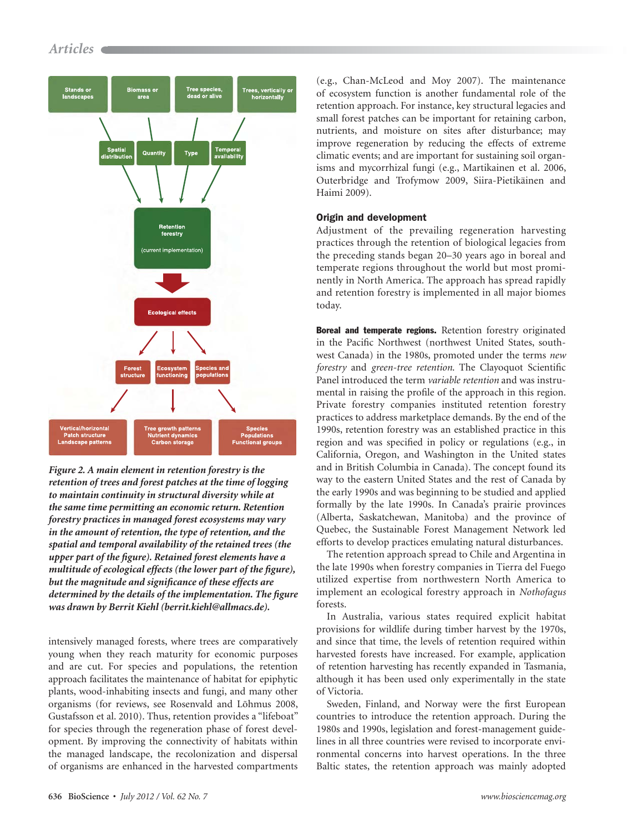## *Articles*



*Figure 2. A main element in retention forestry is the retention of trees and forest patches at the time of logging to maintain continuity in structural diversity while at the same time permitting an economic return. Retention forestry practices in managed forest ecosystems may vary in the amount of retention, the type of retention, and the spatial and temporal availability of the retained trees (the upper part of the figure). Retained forest elements have a multitude of ecological effects (the lower part of the figure), but the magnitude and significance of these effects are determined by the details of the implementation. The figure was drawn by Berrit Kiehl (berrit.kiehl@allmacs.de).*

intensively managed forests, where trees are comparatively young when they reach maturity for economic purposes and are cut. For species and populations, the retention approach facilitates the maintenance of habitat for epiphytic plants, wood-inhabiting insects and fungi, and many other organisms (for reviews, see Rosenvald and Lõhmus 2008, Gustafsson et al. 2010). Thus, retention provides a "lifeboat" for species through the regeneration phase of forest development. By improving the connectivity of habitats within the managed landscape, the recolonization and dispersal of organisms are enhanced in the harvested compartments

(e.g., Chan-McLeod and Moy 2007). The maintenance of ecosystem function is another fundamental role of the retention approach. For instance, key structural legacies and small forest patches can be important for retaining carbon, nutrients, and moisture on sites after disturbance; may improve regeneration by reducing the effects of extreme climatic events; and are important for sustaining soil organisms and mycorrhizal fungi (e.g., Martikainen et al. 2006, Outerbridge and Trofymow 2009, Siira-Pietikäinen and Haimi 2009).

#### Origin and development

Adjustment of the prevailing regeneration harvesting practices through the retention of biological legacies from the preceding stands began 20–30 years ago in boreal and temperate regions throughout the world but most prominently in North America. The approach has spread rapidly and retention forestry is implemented in all major biomes today.

Boreal and temperate regions. Retention forestry originated in the Pacific Northwest (northwest United States, southwest Canada) in the 1980s, promoted under the terms *new forestry* and *green-tree retention*. The Clayoquot Scientific Panel introduced the term *variable retention* and was instrumental in raising the profile of the approach in this region. Private forestry companies instituted retention forestry practices to address marketplace demands. By the end of the 1990s, retention forestry was an established practice in this region and was specified in policy or regulations (e.g., in California, Oregon, and Washington in the United states and in British Columbia in Canada). The concept found its way to the eastern United States and the rest of Canada by the early 1990s and was beginning to be studied and applied formally by the late 1990s. In Canada's prairie provinces (Alberta, Saskatchewan, Manitoba) and the province of Quebec, the Sustainable Forest Management Network led efforts to develop practices emulating natural disturbances.

The retention approach spread to Chile and Argentina in the late 1990s when forestry companies in Tierra del Fuego utilized expertise from northwestern North America to implement an ecological forestry approach in *Nothofagus* forests.

In Australia, various states required explicit habitat provisions for wildlife during timber harvest by the 1970s, and since that time, the levels of retention required within harvested forests have increased. For example, application of retention harvesting has recently expanded in Tasmania, although it has been used only experimentally in the state of Victoria.

Sweden, Finland, and Norway were the first European countries to introduce the retention approach. During the 1980s and 1990s, legislation and forest-management guidelines in all three countries were revised to incorporate environmental concerns into harvest operations. In the three Baltic states, the retention approach was mainly adopted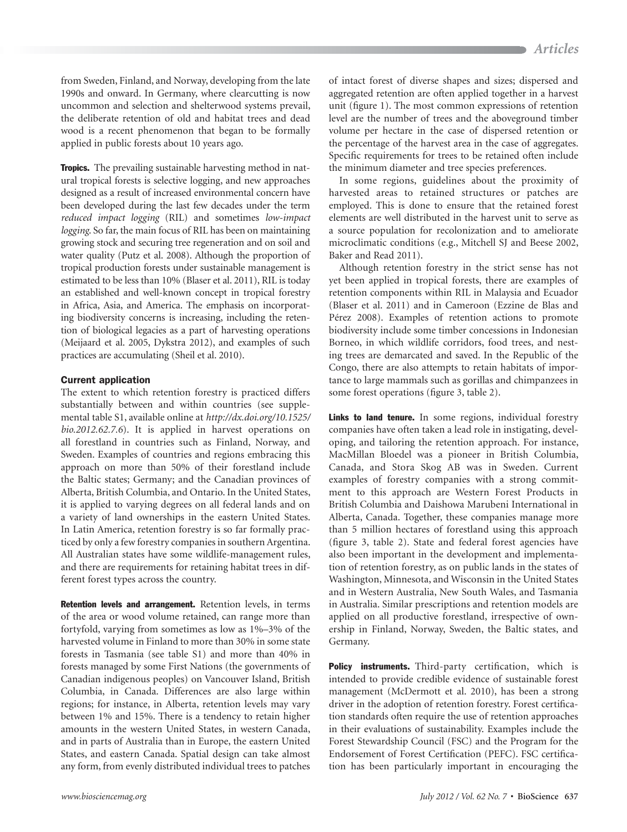from Sweden, Finland, and Norway, developing from the late 1990s and onward. In Germany, where clearcutting is now uncommon and selection and shelterwood systems prevail, the deliberate retention of old and habitat trees and dead wood is a recent phenomenon that began to be formally applied in public forests about 10 years ago.

**Tropics.** The prevailing sustainable harvesting method in natural tropical forests is selective logging, and new approaches designed as a result of increased environmental concern have been developed during the last few decades under the term *reduced impact logging* (RIL) and sometimes *low-impact logging*. So far, the main focus of RIL has been on maintaining growing stock and securing tree regeneration and on soil and water quality (Putz et al. 2008). Although the proportion of tropical production forests under sustainable management is estimated to be less than 10% (Blaser et al. 2011), RIL is today an established and well-known concept in tropical forestry in Africa, Asia, and America. The emphasis on incorporating biodiversity concerns is increasing, including the retention of biological legacies as a part of harvesting operations (Meijaard et al. 2005, Dykstra 2012), and examples of such practices are accumulating (Sheil et al. 2010).

#### Current application

The extent to which retention forestry is practiced differs substantially between and within countries (see supplemental table S1, available online at *http://dx.doi.org/10.1525/ bio.2012.62.7.6*). It is applied in harvest operations on all forestland in countries such as Finland, Norway, and Sweden. Examples of countries and regions embracing this approach on more than 50% of their forestland include the Baltic states; Germany; and the Canadian provinces of Alberta, British Columbia, and Ontario. In the United States, it is applied to varying degrees on all federal lands and on a variety of land ownerships in the eastern United States. In Latin America, retention forestry is so far formally practiced by only a few forestry companies in southern Argentina. All Australian states have some wildlife-management rules, and there are requirements for retaining habitat trees in different forest types across the country.

Retention levels and arrangement. Retention levels, in terms of the area or wood volume retained, can range more than fortyfold, varying from sometimes as low as 1%–3% of the harvested volume in Finland to more than 30% in some state forests in Tasmania (see table S1) and more than 40% in forests managed by some First Nations (the governments of Canadian indigenous peoples) on Vancouver Island, British Columbia, in Canada. Differences are also large within regions; for instance, in Alberta, retention levels may vary between 1% and 15%. There is a tendency to retain higher amounts in the western United States, in western Canada, and in parts of Australia than in Europe, the eastern United States, and eastern Canada. Spatial design can take almost any form, from evenly distributed individual trees to patches of intact forest of diverse shapes and sizes; dispersed and aggregated retention are often applied together in a harvest unit (figure 1). The most common expressions of retention level are the number of trees and the aboveground timber volume per hectare in the case of dispersed retention or the percentage of the harvest area in the case of aggregates. Specific requirements for trees to be retained often include the minimum diameter and tree species preferences.

In some regions, guidelines about the proximity of harvested areas to retained structures or patches are employed. This is done to ensure that the retained forest elements are well distributed in the harvest unit to serve as a source population for recolonization and to ameliorate microclimatic conditions (e.g., Mitchell SJ and Beese 2002, Baker and Read 2011).

Although retention forestry in the strict sense has not yet been applied in tropical forests, there are examples of retention components within RIL in Malaysia and Ecuador (Blaser et al. 2011) and in Cameroon (Ezzine de Blas and Pérez 2008). Examples of retention actions to promote biodiversity include some timber concessions in Indonesian Borneo, in which wildlife corridors, food trees, and nesting trees are demarcated and saved. In the Republic of the Congo, there are also attempts to retain habitats of importance to large mammals such as gorillas and chimpanzees in some forest operations (figure 3, table 2).

Links to land tenure. In some regions, individual forestry companies have often taken a lead role in instigating, developing, and tailoring the retention approach. For instance, MacMillan Bloedel was a pioneer in British Columbia, Canada, and Stora Skog AB was in Sweden. Current examples of forestry companies with a strong commitment to this approach are Western Forest Products in British Columbia and Daishowa Marubeni International in Alberta, Canada. Together, these companies manage more than 5 million hectares of forestland using this approach (figure 3, table 2). State and federal forest agencies have also been important in the development and implementation of retention forestry, as on public lands in the states of Washington, Minnesota, and Wisconsin in the United States and in Western Australia, New South Wales, and Tasmania in Australia. Similar prescriptions and retention models are applied on all productive forestland, irrespective of ownership in Finland, Norway, Sweden, the Baltic states, and Germany.

Policy instruments. Third-party certification, which is intended to provide credible evidence of sustainable forest management (McDermott et al. 2010), has been a strong driver in the adoption of retention forestry. Forest certification standards often require the use of retention approaches in their evaluations of sustainability. Examples include the Forest Stewardship Council (FSC) and the Program for the Endorsement of Forest Certification (PEFC). FSC certification has been particularly important in encouraging the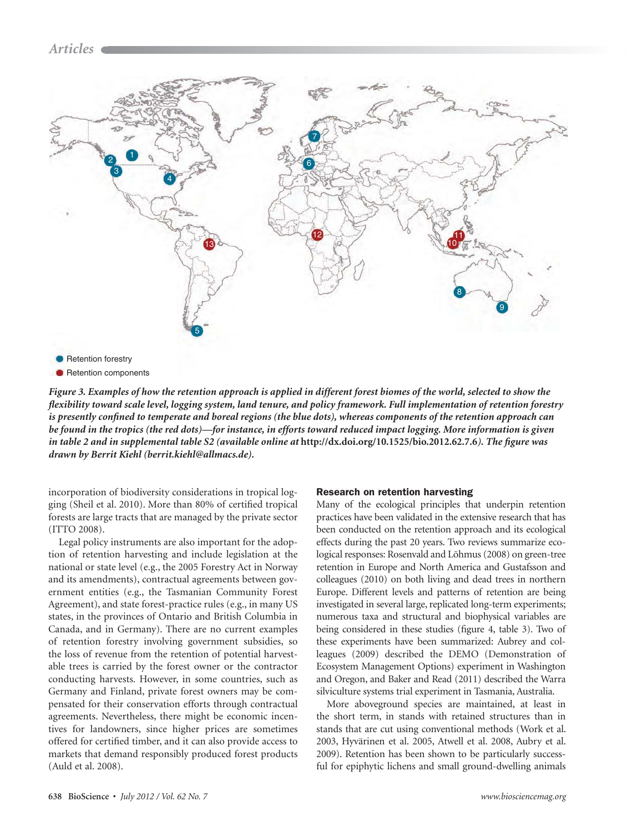

**Retention components** 

*Figure 3. Examples of how the retention approach is applied in different forest biomes of the world, selected to show the flexibility toward scale level, logging system, land tenure, and policy framework. Full implementation of retention forestry is presently confined to temperate and boreal regions (the blue dots), whereas components of the retention approach can be found in the tropics (the red dots)—for instance, in efforts toward reduced impact logging. More information is given in table 2 and in supplemental table S2 (available online at* **http://dx.doi.org/10.1525/bio.2012.62.7.6***). The figure was drawn by Berrit Kiehl (berrit.kiehl@allmacs.de).*

incorporation of biodiversity considerations in tropical logging (Sheil et al. 2010). More than 80% of certified tropical forests are large tracts that are managed by the private sector (ITTO 2008).

Legal policy instruments are also important for the adoption of retention harvesting and include legislation at the national or state level (e.g., the 2005 Forestry Act in Norway and its amendments), contractual agreements between government entities (e.g., the Tasmanian Community Forest Agreement), and state forest-practice rules (e.g., in many US states, in the provinces of Ontario and British Columbia in Canada, and in Germany). There are no current examples of retention forestry involving government subsidies, so the loss of revenue from the retention of potential harvestable trees is carried by the forest owner or the contractor conducting harvests. However, in some countries, such as Germany and Finland, private forest owners may be compensated for their conservation efforts through contractual agreements. Nevertheless, there might be economic incentives for landowners, since higher prices are sometimes offered for certified timber, and it can also provide access to markets that demand responsibly produced forest products (Auld et al. 2008).

#### Research on retention harvesting

Many of the ecological principles that underpin retention practices have been validated in the extensive research that has been conducted on the retention approach and its ecological effects during the past 20 years. Two reviews summarize ecological responses: Rosenvald and Lõhmus (2008) on green-tree retention in Europe and North America and Gustafsson and colleagues (2010) on both living and dead trees in northern Europe. Different levels and patterns of retention are being investigated in several large, replicated long-term experiments; numerous taxa and structural and biophysical variables are being considered in these studies (figure 4, table 3). Two of these experiments have been summarized: Aubrey and colleagues (2009) described the DEMO (Demonstration of Ecosystem Management Options) experiment in Washington and Oregon, and Baker and Read (2011) described the Warra silviculture systems trial experiment in Tasmania, Australia.

More aboveground species are maintained, at least in the short term, in stands with retained structures than in stands that are cut using conventional methods (Work et al. 2003, Hyvärinen et al. 2005, Atwell et al. 2008, Aubry et al. 2009). Retention has been shown to be particularly successful for epiphytic lichens and small ground-dwelling animals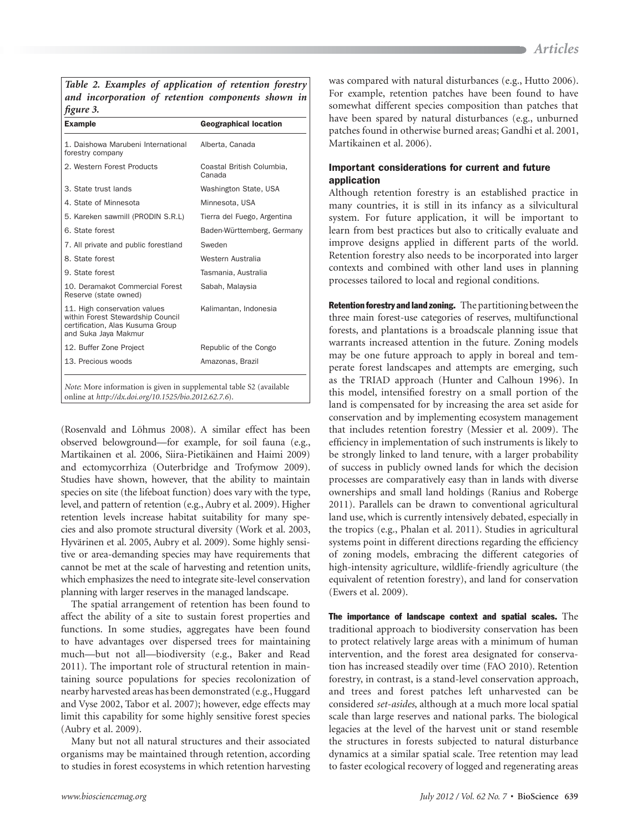*Table 2. Examples of application of retention forestry and incorporation of retention components shown in figure 3.*

| <b>Example</b>                                                                                                                | <b>Geographical location</b>        |
|-------------------------------------------------------------------------------------------------------------------------------|-------------------------------------|
| 1. Daishowa Marubeni International<br>forestry company                                                                        | Alberta, Canada                     |
| 2. Western Forest Products                                                                                                    | Coastal British Columbia,<br>Canada |
| 3. State trust lands                                                                                                          | Washington State, USA               |
| 4. State of Minnesota                                                                                                         | Minnesota, USA                      |
| 5. Kareken sawmill (PRODIN S.R.L)                                                                                             | Tierra del Fuego, Argentina         |
| 6. State forest                                                                                                               | Baden-Württemberg, Germany          |
| 7. All private and public forestland                                                                                          | Sweden                              |
| 8. State forest                                                                                                               | Western Australia                   |
| 9. State forest                                                                                                               | Tasmania, Australia                 |
| 10. Deramakot Commercial Forest<br>Reserve (state owned)                                                                      | Sabah, Malaysia                     |
| 11. High conservation values<br>within Forest Stewardship Council<br>certification, Alas Kusuma Group<br>and Suka Jaya Makmur | Kalimantan, Indonesia               |
| 12. Buffer Zone Project                                                                                                       | Republic of the Congo               |
| 13. Precious woods                                                                                                            | Amazonas, Brazil                    |

(Rosenvald and Lõhmus 2008). A similar effect has been observed belowground—for example, for soil fauna (e.g., Martikainen et al. 2006, Siira-Pietikäinen and Haimi 2009) and ectomycorrhiza (Outerbridge and Trofymow 2009). Studies have shown, however, that the ability to maintain species on site (the lifeboat function) does vary with the type, level, and pattern of retention (e.g., Aubry et al. 2009). Higher retention levels increase habitat suitability for many species and also promote structural diversity (Work et al. 2003, Hyvärinen et al. 2005, Aubry et al. 2009). Some highly sensitive or area-demanding species may have requirements that cannot be met at the scale of harvesting and retention units, which emphasizes the need to integrate site-level conservation planning with larger reserves in the managed landscape.

The spatial arrangement of retention has been found to affect the ability of a site to sustain forest properties and functions. In some studies, aggregates have been found to have advantages over dispersed trees for maintaining much—but not all—biodiversity (e.g., Baker and Read 2011). The important role of structural retention in maintaining source populations for species recolonization of nearby harvested areas has been demonstrated (e.g., Huggard and Vyse 2002, Tabor et al. 2007); however, edge effects may limit this capability for some highly sensitive forest species (Aubry et al. 2009).

Many but not all natural structures and their associated organisms may be maintained through retention, according to studies in forest ecosystems in which retention harvesting was compared with natural disturbances (e.g., Hutto 2006). For example, retention patches have been found to have somewhat different species composition than patches that have been spared by natural disturbances (e.g., unburned patches found in otherwise burned areas; Gandhi et al. 2001, Martikainen et al. 2006).

### Important considerations for current and future application

Although retention forestry is an established practice in many countries, it is still in its infancy as a silvicultural system. For future application, it will be important to learn from best practices but also to critically evaluate and improve designs applied in different parts of the world. Retention forestry also needs to be incorporated into larger contexts and combined with other land uses in planning processes tailored to local and regional conditions.

Retention forestry and land zoning. The partitioning between the three main forest-use categories of reserves, multifunctional forests, and plantations is a broadscale planning issue that warrants increased attention in the future. Zoning models may be one future approach to apply in boreal and temperate forest landscapes and attempts are emerging, such as the TRIAD approach (Hunter and Calhoun 1996). In this model, intensified forestry on a small portion of the land is compensated for by increasing the area set aside for conservation and by implementing ecosystem management that includes retention forestry (Messier et al. 2009). The efficiency in implementation of such instruments is likely to be strongly linked to land tenure, with a larger probability of success in publicly owned lands for which the decision processes are comparatively easy than in lands with diverse ownerships and small land holdings (Ranius and Roberge 2011). Parallels can be drawn to conventional agricultural land use, which is currently intensively debated, especially in the tropics (e.g., Phalan et al. 2011). Studies in agricultural systems point in different directions regarding the efficiency of zoning models, embracing the different categories of high-intensity agriculture, wildlife-friendly agriculture (the equivalent of retention forestry), and land for conservation (Ewers et al. 2009).

The importance of landscape context and spatial scales. The traditional approach to biodiversity conservation has been to protect relatively large areas with a minimum of human intervention, and the forest area designated for conservation has increased steadily over time (FAO 2010). Retention forestry, in contrast, is a stand-level conservation approach, and trees and forest patches left unharvested can be considered *set-asides*, although at a much more local spatial scale than large reserves and national parks. The biological legacies at the level of the harvest unit or stand resemble the structures in forests subjected to natural disturbance dynamics at a similar spatial scale. Tree retention may lead to faster ecological recovery of logged and regenerating areas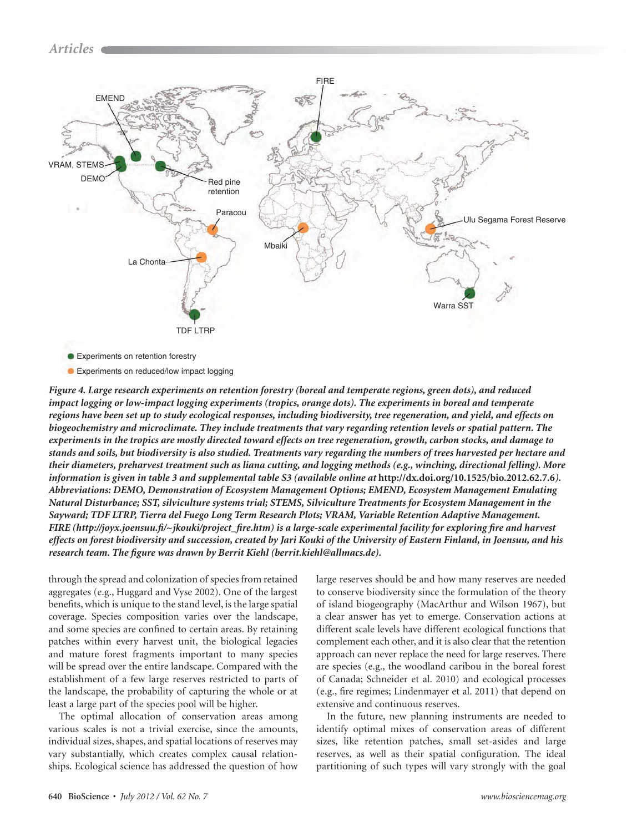

**Experiments on retention forestry** 

**Experiments on reduced/low impact logging** 

*Figure 4. Large research experiments on retention forestry (boreal and temperate regions, green dots), and reduced impact logging or low-impact logging experiments (tropics, orange dots). The experiments in boreal and temperate regions have been set up to study ecological responses, including biodiversity, tree regeneration, and yield, and effects on biogeochemistry and microclimate. They include treatments that vary regarding retention levels or spatial pattern. The experiments in the tropics are mostly directed toward effects on tree regeneration, growth, carbon stocks, and damage to stands and soils, but biodiversity is also studied. Treatments vary regarding the numbers of trees harvested per hectare and their diameters, preharvest treatment such as liana cutting, and logging methods (e.g., winching, directional felling). More information is given in table 3 and supplemental table S3 (available online at http://dx.doi.org/10.1525/bio.2012.62.7.6). Abbreviations: DEMO, Demonstration of Ecosystem Management Options; EMEND, Ecosystem Management Emulating Natural Disturbance; SST, silviculture systems trial; STEMS, Silviculture Treatments for Ecosystem Management in the Sayward; TDF LTRP, Tierra del Fuego Long Term Research Plots; VRAM, Variable Retention Adaptive Management. FIRE (http://joyx.joensuu.fi/~jkouki/project\_fire.htm) is a large-scale experimental facility for exploring fire and harvest effects on forest biodiversity and succession, created by Jari Kouki of the University of Eastern Finland, in Joensuu, and his research team. The figure was drawn by Berrit Kiehl (berrit.kiehl@allmacs.de).*

through the spread and colonization of species from retained aggregates (e.g., Huggard and Vyse 2002). One of the largest benefits, which is unique to the stand level, is the large spatial coverage. Species composition varies over the landscape, and some species are confined to certain areas. By retaining patches within every harvest unit, the biological legacies and mature forest fragments important to many species will be spread over the entire landscape. Compared with the establishment of a few large reserves restricted to parts of the landscape, the probability of capturing the whole or at least a large part of the species pool will be higher.

The optimal allocation of conservation areas among various scales is not a trivial exercise, since the amounts, individual sizes, shapes, and spatial locations of reserves may vary substantially, which creates complex causal relationships. Ecological science has addressed the question of how

large reserves should be and how many reserves are needed to conserve biodiversity since the formulation of the theory of island biogeography (MacArthur and Wilson 1967), but a clear answer has yet to emerge. Conservation actions at different scale levels have different ecological functions that complement each other, and it is also clear that the retention approach can never replace the need for large reserves. There are species (e.g., the woodland caribou in the boreal forest of Canada; Schneider et al. 2010) and ecological processes (e.g., fire regimes; Lindenmayer et al. 2011) that depend on extensive and continuous reserves.

In the future, new planning instruments are needed to identify optimal mixes of conservation areas of different sizes, like retention patches, small set-asides and large reserves, as well as their spatial configuration. The ideal partitioning of such types will vary strongly with the goal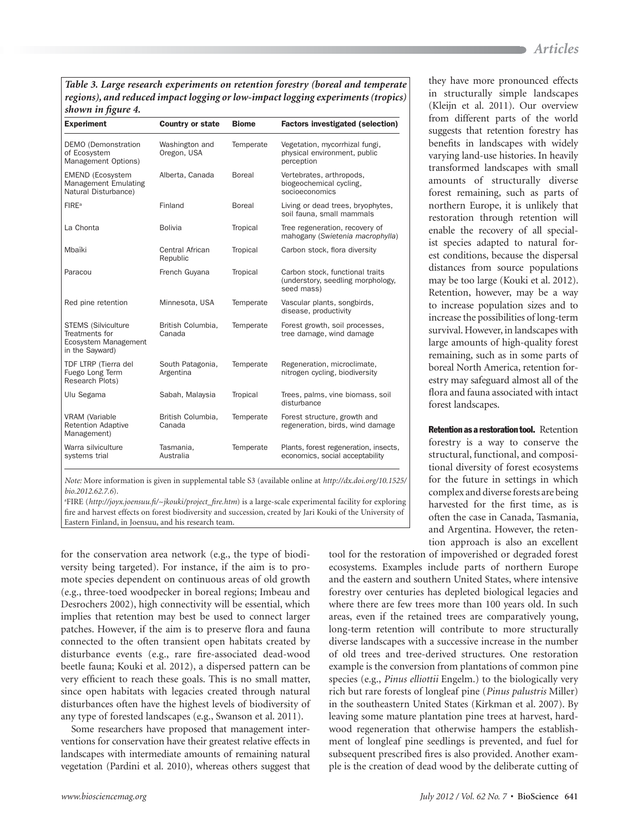*Table 3. Large research experiments on retention forestry (boreal and temperate regions), and reduced impact logging or low-impact logging experiments (tropics) shown in figure 4.*

| <b>Experiment</b>                                                                       | <b>Country or state</b>       | <b>Biome</b>  | <b>Factors investigated (selection)</b>                                            |
|-----------------------------------------------------------------------------------------|-------------------------------|---------------|------------------------------------------------------------------------------------|
| <b>DEMO</b> (Demonstration<br>of Ecosystem<br>Management Options)                       | Washington and<br>Oregon, USA | Temperate     | Vegetation, mycorrhizal fungi,<br>physical environment, public<br>perception       |
| <b>EMEND (Ecosystem</b><br>Management Emulating<br>Natural Disturbance)                 | Alberta, Canada               | <b>Boreal</b> | Vertebrates, arthropods,<br>biogeochemical cycling,<br>socioeconomics              |
| FIRE <sup>a</sup>                                                                       | Finland                       | Boreal        | Living or dead trees, bryophytes,<br>soil fauna, small mammals                     |
| La Chonta                                                                               | <b>Bolivia</b>                | Tropical      | Tree regeneration, recovery of<br>mahogany (Swietenia macrophylla)                 |
| Mbaïki                                                                                  | Central African<br>Republic   | Tropical      | Carbon stock, flora diversity                                                      |
| Paracou                                                                                 | French Guyana                 | Tropical      | Carbon stock, functional traits<br>(understory, seedling morphology,<br>seed mass) |
| Red pine retention                                                                      | Minnesota, USA                | Temperate     | Vascular plants, songbirds,<br>disease, productivity                               |
| <b>STEMS (Silviculture</b><br>Treatments for<br>Ecosystem Management<br>in the Sayward) | British Columbia,<br>Canada   | Temperate     | Forest growth, soil processes,<br>tree damage, wind damage                         |
| TDF LTRP (Tierra del<br>Fuego Long Term<br>Research Plots)                              | South Patagonia,<br>Argentina | Temperate     | Regeneration, microclimate,<br>nitrogen cycling, biodiversity                      |
| Ulu Segama                                                                              | Sabah, Malaysia               | Tropical      | Trees, palms, vine biomass, soil<br>disturbance                                    |
| <b>VRAM</b> (Variable<br><b>Retention Adaptive</b><br>Management)                       | British Columbia,<br>Canada   | Temperate     | Forest structure, growth and<br>regeneration, birds, wind damage                   |
| Warra silviculture<br>systems trial                                                     | Tasmania.<br>Australia        | Temperate     | Plants, forest regeneration, insects,<br>economics, social acceptability           |

*Note:* More information is given in supplemental table S3 (available online at *http://dx.doi.org/10.1525/ bio.2012.62.7.6*).

a FIRE (*http://joyx.joensuu.fi/~jkouki/project\_fire.htm*) is a large-scale experimental facility for exploring fire and harvest effects on forest biodiversity and succession, created by Jari Kouki of the University of Eastern Finland, in Joensuu, and his research team.

for the conservation area network (e.g., the type of biodiversity being targeted). For instance, if the aim is to promote species dependent on continuous areas of old growth (e.g., three-toed woodpecker in boreal regions; Imbeau and Desrochers 2002), high connectivity will be essential, which implies that retention may best be used to connect larger patches. However, if the aim is to preserve flora and fauna connected to the often transient open habitats created by disturbance events (e.g., rare fire-associated dead-wood beetle fauna; Kouki et al. 2012), a dispersed pattern can be very efficient to reach these goals. This is no small matter, since open habitats with legacies created through natural disturbances often have the highest levels of biodiversity of any type of forested landscapes (e.g., Swanson et al. 2011).

Some researchers have proposed that management interventions for conservation have their greatest relative effects in landscapes with intermediate amounts of remaining natural vegetation (Pardini et al. 2010), whereas others suggest that they have more pronounced effects in structurally simple landscapes (Kleijn et al. 2011). Our overview from different parts of the world suggests that retention forestry has benefits in landscapes with widely varying land-use histories. In heavily transformed landscapes with small amounts of structurally diverse forest remaining, such as parts of northern Europe, it is unlikely that restoration through retention will enable the recovery of all specialist species adapted to natural forest conditions, because the dispersal distances from source populations may be too large (Kouki et al. 2012). Retention, however, may be a way to increase population sizes and to increase the possibilities of long-term survival. However, in landscapes with large amounts of high-quality forest remaining, such as in some parts of boreal North America, retention forestry may safeguard almost all of the flora and fauna associated with intact forest landscapes.

Retention as a restoration tool. Retention forestry is a way to conserve the structural, functional, and compositional diversity of forest ecosystems for the future in settings in which complex and diverse forests are being harvested for the first time, as is often the case in Canada, Tasmania, and Argentina. However, the retention approach is also an excellent

tool for the restoration of impoverished or degraded forest ecosystems. Examples include parts of northern Europe and the eastern and southern United States, where intensive forestry over centuries has depleted biological legacies and where there are few trees more than 100 years old. In such areas, even if the retained trees are comparatively young, long-term retention will contribute to more structurally diverse landscapes with a successive increase in the number of old trees and tree-derived structures. One restoration example is the conversion from plantations of common pine species (e.g., *Pinus elliottii* Engelm.) to the biologically very rich but rare forests of longleaf pine (*Pinus palustris* Miller) in the southeastern United States (Kirkman et al. 2007). By leaving some mature plantation pine trees at harvest, hardwood regeneration that otherwise hampers the establishment of longleaf pine seedlings is prevented, and fuel for subsequent prescribed fires is also provided. Another example is the creation of dead wood by the deliberate cutting of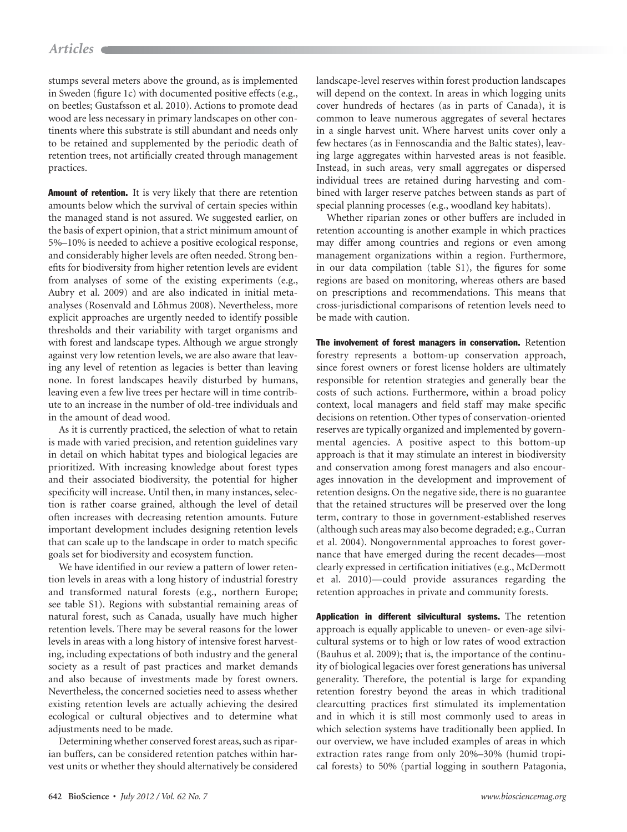stumps several meters above the ground, as is implemented in Sweden (figure 1c) with documented positive effects (e.g., on beetles; Gustafsson et al. 2010). Actions to promote dead wood are less necessary in primary landscapes on other continents where this substrate is still abundant and needs only to be retained and supplemented by the periodic death of retention trees, not artificially created through management practices.

Amount of retention. It is very likely that there are retention amounts below which the survival of certain species within the managed stand is not assured. We suggested earlier, on the basis of expert opinion, that a strict minimum amount of 5%–10% is needed to achieve a positive ecological response, and considerably higher levels are often needed. Strong benefits for biodiversity from higher retention levels are evident from analyses of some of the existing experiments (e.g., Aubry et al. 2009) and are also indicated in initial metaanalyses (Rosenvald and Lõhmus 2008). Nevertheless, more explicit approaches are urgently needed to identify possible thresholds and their variability with target organisms and with forest and landscape types. Although we argue strongly against very low retention levels, we are also aware that leaving any level of retention as legacies is better than leaving none. In forest landscapes heavily disturbed by humans, leaving even a few live trees per hectare will in time contribute to an increase in the number of old-tree individuals and in the amount of dead wood.

As it is currently practiced, the selection of what to retain is made with varied precision, and retention guidelines vary in detail on which habitat types and biological legacies are prioritized. With increasing knowledge about forest types and their associated biodiversity, the potential for higher specificity will increase. Until then, in many instances, selection is rather coarse grained, although the level of detail often increases with decreasing retention amounts. Future important development includes designing retention levels that can scale up to the landscape in order to match specific goals set for biodiversity and ecosystem function.

We have identified in our review a pattern of lower retention levels in areas with a long history of industrial forestry and transformed natural forests (e.g., northern Europe; see table S1). Regions with substantial remaining areas of natural forest, such as Canada, usually have much higher retention levels. There may be several reasons for the lower levels in areas with a long history of intensive forest harvesting, including expectations of both industry and the general society as a result of past practices and market demands and also because of investments made by forest owners. Nevertheless, the concerned societies need to assess whether existing retention levels are actually achieving the desired ecological or cultural objectives and to determine what adjustments need to be made.

Determining whether conserved forest areas, such as riparian buffers, can be considered retention patches within harvest units or whether they should alternatively be considered landscape-level reserves within forest production landscapes will depend on the context. In areas in which logging units cover hundreds of hectares (as in parts of Canada), it is common to leave numerous aggregates of several hectares in a single harvest unit. Where harvest units cover only a few hectares (as in Fennoscandia and the Baltic states), leaving large aggregates within harvested areas is not feasible. Instead, in such areas, very small aggregates or dispersed individual trees are retained during harvesting and combined with larger reserve patches between stands as part of special planning processes (e.g., woodland key habitats).

Whether riparian zones or other buffers are included in retention accounting is another example in which practices may differ among countries and regions or even among management organizations within a region. Furthermore, in our data compilation (table S1), the figures for some regions are based on monitoring, whereas others are based on prescriptions and recommendations. This means that cross-jurisdictional comparisons of retention levels need to be made with caution.

The involvement of forest managers in conservation. Retention forestry represents a bottom-up conservation approach, since forest owners or forest license holders are ultimately responsible for retention strategies and generally bear the costs of such actions. Furthermore, within a broad policy context, local managers and field staff may make specific decisions on retention. Other types of conservation-oriented reserves are typically organized and implemented by governmental agencies. A positive aspect to this bottom-up approach is that it may stimulate an interest in biodiversity and conservation among forest managers and also encourages innovation in the development and improvement of retention designs. On the negative side, there is no guarantee that the retained structures will be preserved over the long term, contrary to those in government-established reserves (although such areas may also become degraded; e.g., Curran et al. 2004). Nongovernmental approaches to forest governance that have emerged during the recent decades—most clearly expressed in certification initiatives (e.g., McDermott et al. 2010)—could provide assurances regarding the retention approaches in private and community forests.

Application in different silvicultural systems. The retention approach is equally applicable to uneven- or even-age silvicultural systems or to high or low rates of wood extraction (Bauhus et al. 2009); that is, the importance of the continuity of biological legacies over forest generations has universal generality. Therefore, the potential is large for expanding retention forestry beyond the areas in which traditional clearcutting practices first stimulated its implementation and in which it is still most commonly used to areas in which selection systems have traditionally been applied. In our overview, we have included examples of areas in which extraction rates range from only 20%–30% (humid tropical forests) to 50% (partial logging in southern Patagonia,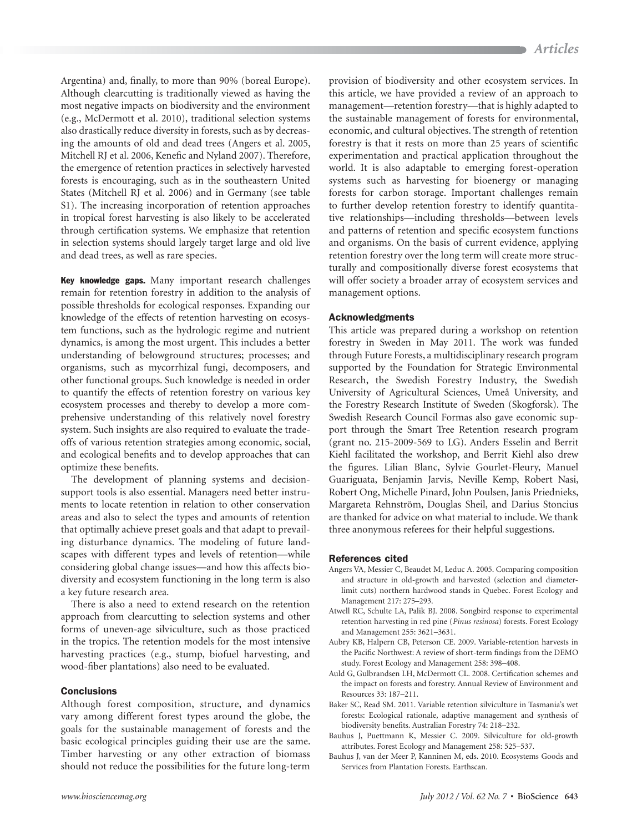Argentina) and, finally, to more than 90% (boreal Europe). Although clearcutting is traditionally viewed as having the most negative impacts on biodiversity and the environment (e.g., McDermott et al. 2010), traditional selection systems also drastically reduce diversity in forests, such as by decreasing the amounts of old and dead trees (Angers et al. 2005, Mitchell RJ et al. 2006, Kenefic and Nyland 2007). Therefore, the emergence of retention practices in selectively harvested forests is encouraging, such as in the southeastern United States (Mitchell RJ et al. 2006) and in Germany (see table S1). The increasing incorporation of retention approaches in tropical forest harvesting is also likely to be accelerated through certification systems. We emphasize that retention in selection systems should largely target large and old live and dead trees, as well as rare species.

Key knowledge gaps. Many important research challenges remain for retention forestry in addition to the analysis of possible thresholds for ecological responses. Expanding our knowledge of the effects of retention harvesting on ecosystem functions, such as the hydrologic regime and nutrient dynamics, is among the most urgent. This includes a better understanding of belowground structures; processes; and organisms, such as mycorrhizal fungi, decomposers, and other functional groups. Such knowledge is needed in order to quantify the effects of retention forestry on various key ecosystem processes and thereby to develop a more comprehensive understanding of this relatively novel forestry system. Such insights are also required to evaluate the tradeoffs of various retention strategies among economic, social, and ecological benefits and to develop approaches that can optimize these benefits.

The development of planning systems and decisionsupport tools is also essential. Managers need better instruments to locate retention in relation to other conservation areas and also to select the types and amounts of retention that optimally achieve preset goals and that adapt to prevailing disturbance dynamics. The modeling of future landscapes with different types and levels of retention—while considering global change issues—and how this affects biodiversity and ecosystem functioning in the long term is also a key future research area.

There is also a need to extend research on the retention approach from clearcutting to selection systems and other forms of uneven-age silviculture, such as those practiced in the tropics. The retention models for the most intensive harvesting practices (e.g., stump, biofuel harvesting, and wood-fiber plantations) also need to be evaluated.

#### **Conclusions**

Although forest composition, structure, and dynamics vary among different forest types around the globe, the goals for the sustainable management of forests and the basic ecological principles guiding their use are the same. Timber harvesting or any other extraction of biomass should not reduce the possibilities for the future long-term provision of biodiversity and other ecosystem services. In this article, we have provided a review of an approach to management—retention forestry—that is highly adapted to the sustainable management of forests for environmental, economic, and cultural objectives. The strength of retention forestry is that it rests on more than 25 years of scientific experimentation and practical application throughout the world. It is also adaptable to emerging forest-operation systems such as harvesting for bioenergy or managing forests for carbon storage. Important challenges remain to further develop retention forestry to identify quantitative relationships—including thresholds—between levels and patterns of retention and specific ecosystem functions and organisms. On the basis of current evidence, applying retention forestry over the long term will create more structurally and compositionally diverse forest ecosystems that will offer society a broader array of ecosystem services and management options.

#### Acknowledgments

This article was prepared during a workshop on retention forestry in Sweden in May 2011. The work was funded through Future Forests, a multidisciplinary research program supported by the Foundation for Strategic Environmental Research, the Swedish Forestry Industry, the Swedish University of Agricultural Sciences, Umeå University, and the Forestry Research Institute of Sweden (Skogforsk). The Swedish Research Council Formas also gave economic support through the Smart Tree Retention research program (grant no. 215-2009-569 to LG). Anders Esselin and Berrit Kiehl facilitated the workshop, and Berrit Kiehl also drew the figures. Lilian Blanc, Sylvie Gourlet-Fleury, Manuel Guariguata, Benjamin Jarvis, Neville Kemp, Robert Nasi, Robert Ong, Michelle Pinard, John Poulsen, Janis Priednieks, Margareta Rehnström, Douglas Sheil, and Darius Stoncius are thanked for advice on what material to include. We thank three anonymous referees for their helpful suggestions.

#### References cited

- Angers VA, Messier C, Beaudet M, Leduc A. 2005. Comparing composition and structure in old-growth and harvested (selection and diameterlimit cuts) northern hardwood stands in Quebec. Forest Ecology and Management 217: 275–293.
- Atwell RC, Schulte LA, Palik BJ. 2008. Songbird response to experimental retention harvesting in red pine (*Pinus resinosa*) forests. Forest Ecology and Management 255: 3621–3631.
- Aubry KB, Halpern CB, Peterson CE. 2009. Variable-retention harvests in the Pacific Northwest: A review of short-term findings from the DEMO study. Forest Ecology and Management 258: 398–408.
- Auld G, Gulbrandsen LH, McDermott CL. 2008. Certification schemes and the impact on forests and forestry. Annual Review of Environment and Resources 33: 187–211.
- Baker SC, Read SM. 2011. Variable retention silviculture in Tasmania's wet forests: Ecological rationale, adaptive management and synthesis of biodiversity benefits. Australian Forestry 74: 218–232.
- Bauhus J, Puettmann K, Messier C. 2009. Silviculture for old-growth attributes. Forest Ecology and Management 258: 525–537.
- Bauhus J, van der Meer P, Kanninen M, eds. 2010. Ecosystems Goods and Services from Plantation Forests. Earthscan.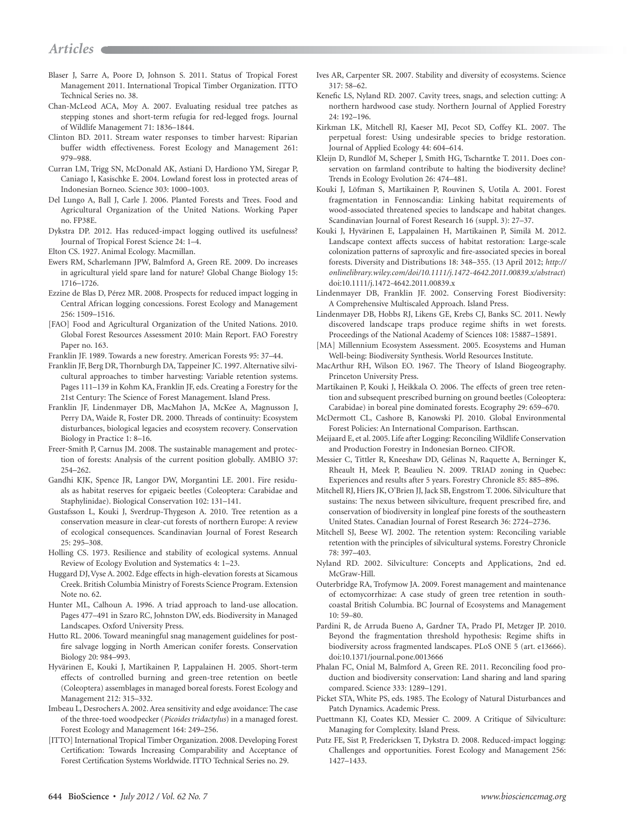- Blaser J, Sarre A, Poore D, Johnson S. 2011. Status of Tropical Forest Management 2011. International Tropical Timber Organization. ITTO Technical Series no. 38.
- Chan-McLeod ACA, Moy A. 2007. Evaluating residual tree patches as stepping stones and short-term refugia for red-legged frogs. Journal of Wildlife Management 71: 1836–1844.
- Clinton BD. 2011. Stream water responses to timber harvest: Riparian buffer width effectiveness. Forest Ecology and Management 261: 979–988.
- Curran LM, Trigg SN, McDonald AK, Astiani D, Hardiono YM, Siregar P, Caniago I, Kasischke E. 2004. Lowland forest loss in protected areas of Indonesian Borneo. Science 303: 1000–1003.
- Del Lungo A, Ball J, Carle J. 2006. Planted Forests and Trees. Food and Agricultural Organization of the United Nations. Working Paper no. FP38E.
- Dykstra DP. 2012. Has reduced-impact logging outlived its usefulness? Journal of Tropical Forest Science 24: 1–4.
- Elton CS. 1927. Animal Ecology. Macmillan.
- Ewers RM, Scharlemann JPW, Balmford A, Green RE. 2009. Do increases in agricultural yield spare land for nature? Global Change Biology 15: 1716–1726.
- Ezzine de Blas D, Pérez MR. 2008. Prospects for reduced impact logging in Central African logging concessions. Forest Ecology and Management 256: 1509–1516.
- [FAO] Food and Agricultural Organization of the United Nations. 2010. Global Forest Resources Assessment 2010: Main Report. FAO Forestry Paper no. 163.

Franklin JF. 1989. Towards a new forestry. American Forests 95: 37–44.

- Franklin JF, Berg DR, Thornburgh DA, Tappeiner JC. 1997. Alternative silvicultural approaches to timber harvesting: Variable retention systems. Pages 111–139 in Kohm KA, Franklin JF, eds. Creating a Forestry for the 21st Century: The Science of Forest Management. Island Press.
- Franklin JF, Lindenmayer DB, MacMahon JA, McKee A, Magnusson J, Perry DA, Waide R, Foster DR. 2000. Threads of continuity: Ecosystem disturbances, biological legacies and ecosystem recovery. Conservation Biology in Practice 1: 8–16.
- Freer-Smith P, Carnus JM. 2008. The sustainable management and protection of forests: Analysis of the current position globally. AMBIO 37: 254–262.
- Gandhi KJK, Spence JR, Langor DW, Morgantini LE. 2001. Fire residuals as habitat reserves for epigaeic beetles (Coleoptera: Carabidae and Staphylinidae). Biological Conservation 102: 131–141.
- Gustafsson L, Kouki J, Sverdrup-Thygeson A. 2010. Tree retention as a conservation measure in clear-cut forests of northern Europe: A review of ecological consequences. Scandinavian Journal of Forest Research 25: 295–308.
- Holling CS. 1973. Resilience and stability of ecological systems. Annual Review of Ecology Evolution and Systematics 4: 1–23.
- Huggard DJ, Vyse A. 2002. Edge effects in high-elevation forests at Sicamous Creek. British Columbia Ministry of Forests Science Program. Extension Note no. 62.
- Hunter ML, Calhoun A. 1996. A triad approach to land-use allocation. Pages 477–491 in Szaro RC, Johnston DW, eds. Biodiversity in Managed Landscapes. Oxford University Press.
- Hutto RL. 2006. Toward meaningful snag management guidelines for postfire salvage logging in North American conifer forests. Conservation Biology 20: 984–993.
- Hyvärinen E, Kouki J, Martikainen P, Lappalainen H. 2005. Short-term effects of controlled burning and green-tree retention on beetle (Coleoptera) assemblages in managed boreal forests. Forest Ecology and Management 212: 315–332.
- Imbeau L, Desrochers A. 2002. Area sensitivity and edge avoidance: The case of the three-toed woodpecker (*Picoides tridactylus*) in a managed forest. Forest Ecology and Management 164: 249–256.
- [ITTO] International Tropical Timber Organization. 2008. Developing Forest Certification: Towards Increasing Comparability and Acceptance of Forest Certification Systems Worldwide. ITTO Technical Series no. 29.
- Ives AR, Carpenter SR. 2007. Stability and diversity of ecosystems. Science 317: 58–62.
- Kenefic LS, Nyland RD. 2007. Cavity trees, snags, and selection cutting: A northern hardwood case study. Northern Journal of Applied Forestry 24: 192–196.
- Kirkman LK, Mitchell RJ, Kaeser MJ, Pecot SD, Coffey KL. 2007. The perpetual forest: Using undesirable species to bridge restoration. Journal of Applied Ecology 44: 604–614.
- Kleijn D, Rundlöf M, Scheper J, Smith HG, Tscharntke T. 2011. Does conservation on farmland contribute to halting the biodiversity decline? Trends in Ecology Evolution 26: 474–481.
- Kouki J, Löfman S, Martikainen P, Rouvinen S, Uotila A. 2001. Forest fragmentation in Fennoscandia: Linking habitat requirements of wood-associated threatened species to landscape and habitat changes. Scandinavian Journal of Forest Research 16 (suppl. 3): 27–37.
- Kouki J, Hyvärinen E, Lappalainen H, Martikainen P, Similä M. 2012. Landscape context affects success of habitat restoration: Large-scale colonization patterns of saproxylic and fire-associated species in boreal forests. Diversity and Distributions 18: 348–355. (13 April 2012; *http:// onlinelibrary.wiley.com/doi/10.1111/j.1472-4642.2011.00839.x/abstract*) doi:10.1111/j.1472-4642.2011.00839.x
- Lindenmayer DB, Franklin JF. 2002. Conserving Forest Biodiversity: A Comprehensive Multiscaled Approach. Island Press.
- Lindenmayer DB, Hobbs RJ, Likens GE, Krebs CJ, Banks SC. 2011. Newly discovered landscape traps produce regime shifts in wet forests. Proceedings of the National Academy of Sciences 108: 15887–15891.
- [MA] Millennium Ecosystem Assessment. 2005. Ecosystems and Human Well-being: Biodiversity Synthesis. World Resources Institute.
- MacArthur RH, Wilson EO. 1967. The Theory of Island Biogeography. Princeton University Press.
- Martikainen P, Kouki J, Heikkala O. 2006. The effects of green tree retention and subsequent prescribed burning on ground beetles (Coleoptera: Carabidae) in boreal pine dominated forests. Ecography 29: 659–670.
- McDermott CL, Cashore B, Kanowski PJ. 2010. Global Environmental Forest Policies: An International Comparison. Earthscan.
- Meijaard E, et al. 2005. Life after Logging: Reconciling Wildlife Conservation and Production Forestry in Indonesian Borneo. CIFOR.
- Messier C, Tittler R, Kneeshaw DD, Gélinas N, Raquette A, Berninger K, Rheault H, Meek P, Beaulieu N. 2009. TRIAD zoning in Quebec: Experiences and results after 5 years. Forestry Chronicle 85: 885–896.
- Mitchell RJ, Hiers JK, O'Brien JJ, Jack SB, Engstrom T. 2006. Silviculture that sustains: The nexus between silviculture, frequent prescribed fire, and conservation of biodiversity in longleaf pine forests of the southeastern United States. Canadian Journal of Forest Research 36: 2724–2736.
- Mitchell SJ, Beese WJ. 2002. The retention system: Reconciling variable retention with the principles of silvicultural systems. Forestry Chronicle 78: 397–403.
- Nyland RD. 2002. Silviculture: Concepts and Applications, 2nd ed. McGraw-Hill.
- Outerbridge RA, Trofymow JA. 2009. Forest management and maintenance of ectomycorrhizae: A case study of green tree retention in southcoastal British Columbia. BC Journal of Ecosystems and Management 10: 59–80.
- Pardini R, de Arruda Bueno A, Gardner TA, Prado PI, Metzger JP. 2010. Beyond the fragmentation threshold hypothesis: Regime shifts in biodiversity across fragmented landscapes. PLoS ONE 5 (art. e13666). doi:10.1371/journal.pone.0013666
- Phalan FC, Onial M, Balmford A, Green RE. 2011. Reconciling food production and biodiversity conservation: Land sharing and land sparing compared. Science 333: 1289–1291.
- Picket STA, White PS, eds. 1985. The Ecology of Natural Disturbances and Patch Dynamics. Academic Press.
- Puettmann KJ, Coates KD, Messier C. 2009. A Critique of Silviculture: Managing for Complexity. Island Press.
- Putz FE, Sist P, Fredericksen T, Dykstra D. 2008. Reduced-impact logging: Challenges and opportunities. Forest Ecology and Management 256: 1427–1433.